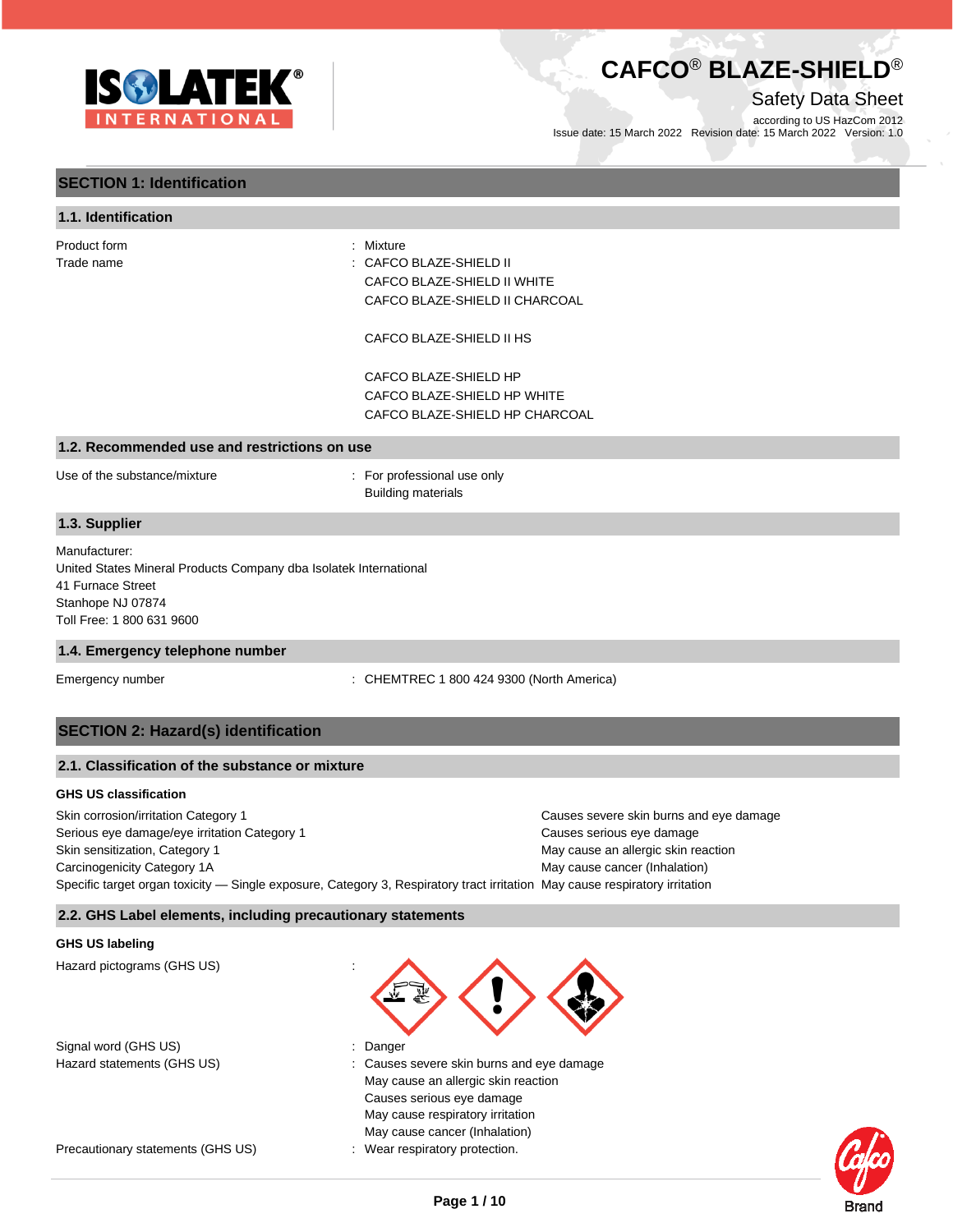

Safety Data Sheet

according to US HazCom 2012 Issue date: 15 March 2022 Revision date: 15 March 2022 Version: 1.0

### **SECTION 1: Identification**

#### **1.1. Identification**

| : CAFCO BLAZE-SHIELD II<br>CAFCO BLAZE-SHIELD II WHITE            |
|-------------------------------------------------------------------|
| CAFCO BLAZE-SHIELD II CHARCOAL<br>CAFCO BLAZE-SHIELD II HS        |
| CAFCO BLAZE-SHIELD HP                                             |
| CAFCO BLAZE-SHIELD HP WHITE                                       |
| CAFCO BLAZE-SHIELD HP CHARCOAL                                    |
|                                                                   |
| : For professional use only<br><b>Building materials</b>          |
|                                                                   |
|                                                                   |
| United States Mineral Products Company dba Isolatek International |
|                                                                   |
|                                                                   |
|                                                                   |

#### **1.4. Emergency telephone number**

Emergency number : CHEMTREC 1 800 424 9300 (North America)

#### **SECTION 2: Hazard(s) identification**

| 2.1. Classification of the substance or mixture |
|-------------------------------------------------|
|-------------------------------------------------|

#### **GHS US classification**

Skin corrosion/irritation Category 1 **Causes severe skin burns and eye damage** Serious eye damage/eye irritation Category 1 Causes serious eye damage Skin sensitization, Category 1 May cause an allergic skin reaction and May cause an allergic skin reaction Carcinogenicity Category 1A May cause cancer (Inhalation) and Carcinogenicity Category 1A Specific target organ toxicity — Single exposure, Category 3, Respiratory tract irritation May cause respiratory irritation

#### **2.2. GHS Label elements, including precautionary statements**

#### **GHS US labeling**

Hazard pictograms (GHS US) :

Signal word (GHS US) in the state of the Signal word (GHS US) in the state of the Signal word (GHS US) is the Danger

Precautionary statements (GHS US) : Wear respiratory protection.



- 
- Hazard statements (GHS US)  $\qquad \qquad$ : Causes severe skin burns and eye damage May cause an allergic skin reaction Causes serious eye damage May cause respiratory irritation May cause cancer (Inhalation)
	-

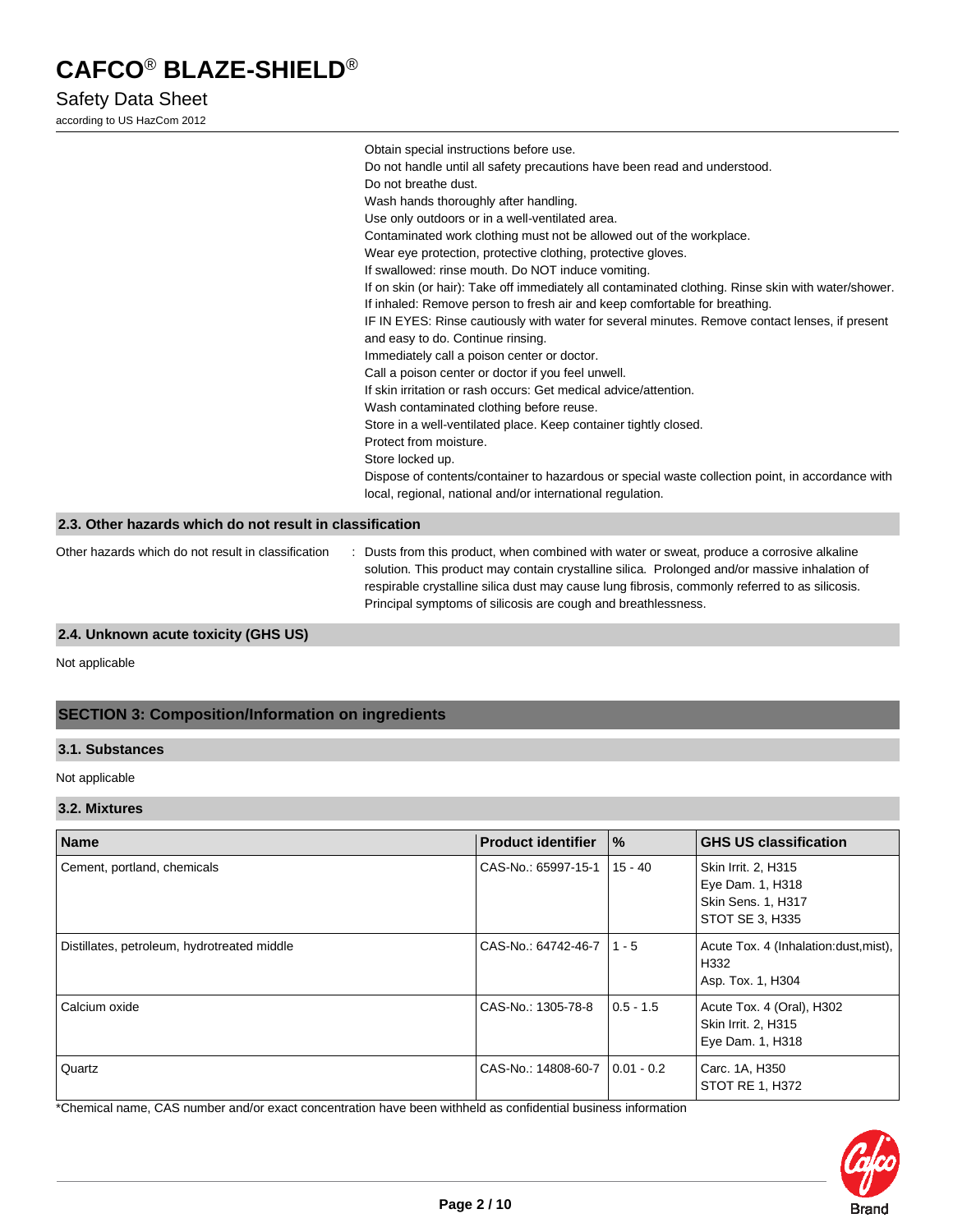# Safety Data Sheet

according to US HazCom 2012

|                                                          | Obtain special instructions before use.                                                                                                                                                     |
|----------------------------------------------------------|---------------------------------------------------------------------------------------------------------------------------------------------------------------------------------------------|
|                                                          | Do not handle until all safety precautions have been read and understood.                                                                                                                   |
|                                                          | Do not breathe dust.                                                                                                                                                                        |
|                                                          | Wash hands thoroughly after handling.                                                                                                                                                       |
|                                                          | Use only outdoors or in a well-ventilated area.                                                                                                                                             |
|                                                          | Contaminated work clothing must not be allowed out of the workplace.                                                                                                                        |
|                                                          | Wear eye protection, protective clothing, protective gloves.                                                                                                                                |
|                                                          | If swallowed: rinse mouth. Do NOT induce vomiting.                                                                                                                                          |
|                                                          | If on skin (or hair): Take off immediately all contaminated clothing. Rinse skin with water/shower.                                                                                         |
|                                                          | If inhaled: Remove person to fresh air and keep comfortable for breathing.                                                                                                                  |
|                                                          | IF IN EYES: Rinse cautiously with water for several minutes. Remove contact lenses, if present                                                                                              |
|                                                          | and easy to do. Continue rinsing.                                                                                                                                                           |
|                                                          | Immediately call a poison center or doctor.                                                                                                                                                 |
|                                                          | Call a poison center or doctor if you feel unwell.                                                                                                                                          |
|                                                          | If skin irritation or rash occurs: Get medical advice/attention.                                                                                                                            |
|                                                          | Wash contaminated clothing before reuse.                                                                                                                                                    |
|                                                          | Store in a well-ventilated place. Keep container tightly closed.                                                                                                                            |
|                                                          | Protect from moisture.                                                                                                                                                                      |
|                                                          | Store locked up.                                                                                                                                                                            |
|                                                          | Dispose of contents/container to hazardous or special waste collection point, in accordance with                                                                                            |
|                                                          | local, regional, national and/or international regulation.                                                                                                                                  |
|                                                          |                                                                                                                                                                                             |
| 2.3. Other hazards which do not result in classification |                                                                                                                                                                                             |
| Other hazards which do not result in classification      | : Dusts from this product, when combined with water or sweat, produce a corrosive alkaline<br>solution. This product may contain crystalline silica. Prolonged and/or massive inhalation of |

respirable crystalline silica dust may cause lung fibrosis, commonly referred to as silicosis.

Principal symptoms of silicosis are cough and breathlessness.

#### **2.4. Unknown acute toxicity (GHS US)**

Not applicable

### **SECTION 3: Composition/Information on ingredients**

#### **3.1. Substances**

Not applicable

#### **3.2. Mixtures**

| <b>Name</b>                                 | <b>Product identifier</b>        | $\%$        | <b>GHS US classification</b>                                                     |
|---------------------------------------------|----------------------------------|-------------|----------------------------------------------------------------------------------|
| Cement, portland, chemicals                 | CAS-No.: 65997-15-1   15 - 40    |             | Skin Irrit. 2, H315<br>Eye Dam. 1, H318<br>Skin Sens. 1, H317<br>STOT SE 3, H335 |
| Distillates, petroleum, hydrotreated middle | CAS-No.: 64742-46-7   1 - 5      |             | Acute Tox. 4 (Inhalation: dust, mist),<br>H332<br>Asp. Tox. 1, H304              |
| Calcium oxide                               | CAS-No.: 1305-78-8               | $0.5 - 1.5$ | Acute Tox. 4 (Oral), H302<br>Skin Irrit. 2, H315<br>Eye Dam. 1, H318             |
| Quartz                                      | CAS-No.: 14808-60-7   0.01 - 0.2 |             | Carc. 1A, H350<br>STOT RE 1, H372                                                |

\*Chemical name, CAS number and/or exact concentration have been withheld as confidential business information

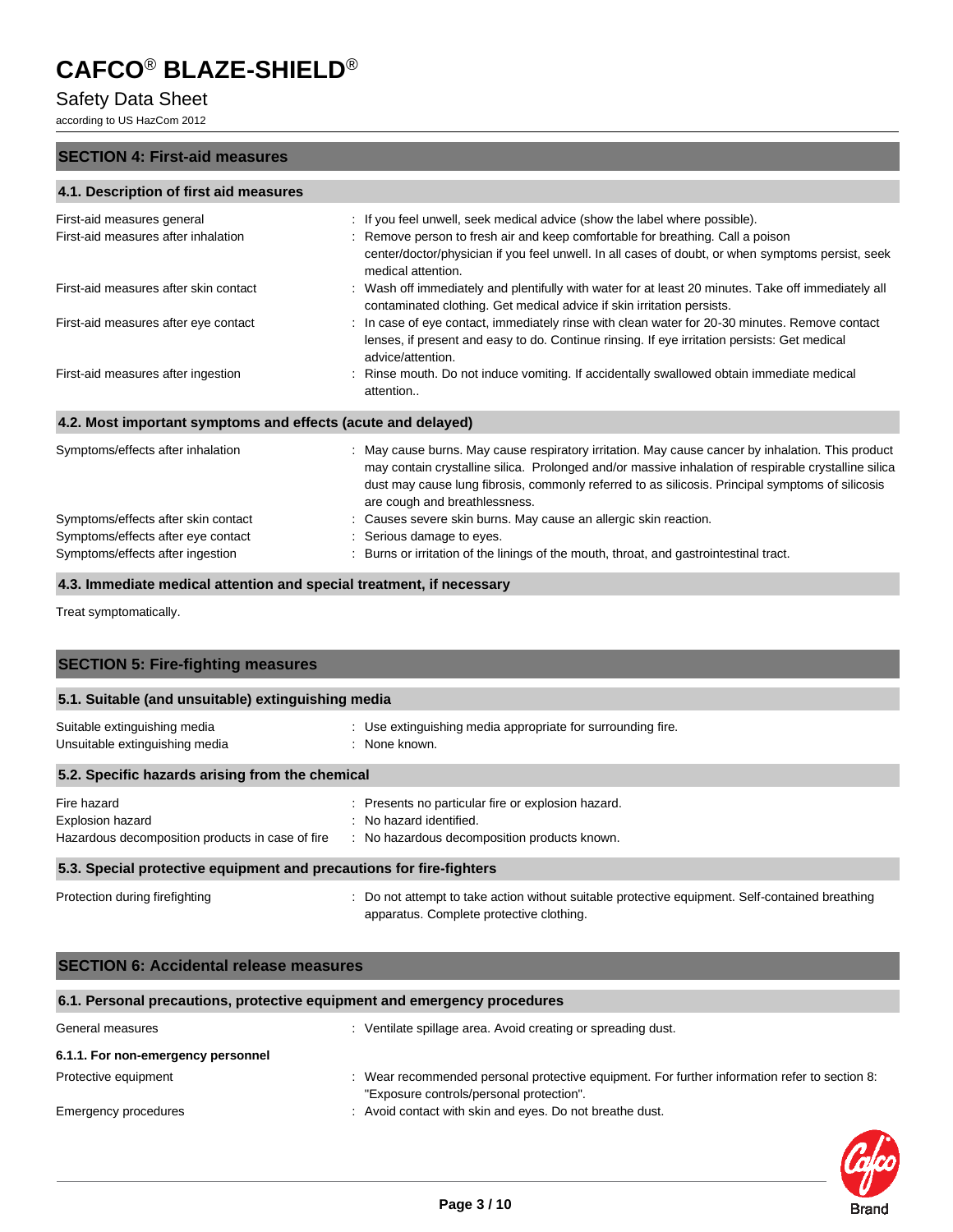# Safety Data Sheet

according to US HazCom 2012

#### **SECTION 4: First-aid measures**

### **4.1. Description of first aid measures**

| First-aid measures general<br>First-aid measures after inhalation | : If you feel unwell, seek medical advice (show the label where possible).<br>: Remove person to fresh air and keep comfortable for breathing. Call a poison<br>center/doctor/physician if you feel unwell. In all cases of doubt, or when symptoms persist, seek<br>medical attention.                                                        |
|-------------------------------------------------------------------|------------------------------------------------------------------------------------------------------------------------------------------------------------------------------------------------------------------------------------------------------------------------------------------------------------------------------------------------|
| First-aid measures after skin contact                             | : Wash off immediately and plentifully with water for at least 20 minutes. Take off immediately all<br>contaminated clothing. Get medical advice if skin irritation persists.                                                                                                                                                                  |
| First-aid measures after eye contact                              | : In case of eye contact, immediately rinse with clean water for 20-30 minutes. Remove contact<br>lenses, if present and easy to do. Continue rinsing. If eye irritation persists: Get medical<br>advice/attention.                                                                                                                            |
| First-aid measures after ingestion                                | Rinse mouth. Do not induce vomiting. If accidentally swallowed obtain immediate medical<br>attention                                                                                                                                                                                                                                           |
| 4.2. Most important symptoms and effects (acute and delayed)      |                                                                                                                                                                                                                                                                                                                                                |
| Symptoms/effects after inhalation                                 | : May cause burns. May cause respiratory irritation. May cause cancer by inhalation. This product<br>may contain crystalline silica. Prolonged and/or massive inhalation of respirable crystalline silica<br>dust may cause lung fibrosis, commonly referred to as silicosis. Principal symptoms of silicosis<br>are cough and breathlessness. |
| Symptoms/effects after skin contact                               | Causes severe skin burns. May cause an allergic skin reaction.                                                                                                                                                                                                                                                                                 |
| Symptoms/effects after eye contact                                | Serious damage to eyes.                                                                                                                                                                                                                                                                                                                        |
| Symptoms/effects after ingestion                                  | Burns or irritation of the linings of the mouth, throat, and gastrointestinal tract.                                                                                                                                                                                                                                                           |

**4.3. Immediate medical attention and special treatment, if necessary**

Treat symptomatically.

| <b>SECTION 5: Fire-fighting measures</b>                                                   |                                                                                                                                             |  |  |  |
|--------------------------------------------------------------------------------------------|---------------------------------------------------------------------------------------------------------------------------------------------|--|--|--|
| 5.1. Suitable (and unsuitable) extinguishing media                                         |                                                                                                                                             |  |  |  |
| Suitable extinguishing media<br>Unsuitable extinguishing media                             | : Use extinguishing media appropriate for surrounding fire.<br>: None known.                                                                |  |  |  |
| 5.2. Specific hazards arising from the chemical                                            |                                                                                                                                             |  |  |  |
| Fire hazard<br><b>Explosion hazard</b><br>Hazardous decomposition products in case of fire | : Presents no particular fire or explosion hazard.<br>: No hazard identified.<br>: No hazardous decomposition products known.               |  |  |  |
| 5.3. Special protective equipment and precautions for fire-fighters                        |                                                                                                                                             |  |  |  |
| Protection during firefighting                                                             | : Do not attempt to take action without suitable protective equipment. Self-contained breathing<br>apparatus. Complete protective clothing. |  |  |  |

| <b>SECTION 6: Accidental release measures</b>                            |                                                                                                                                           |  |  |
|--------------------------------------------------------------------------|-------------------------------------------------------------------------------------------------------------------------------------------|--|--|
| 6.1. Personal precautions, protective equipment and emergency procedures |                                                                                                                                           |  |  |
| General measures                                                         | : Ventilate spillage area. Avoid creating or spreading dust.                                                                              |  |  |
| 6.1.1. For non-emergency personnel                                       |                                                                                                                                           |  |  |
| Protective equipment                                                     | : Wear recommended personal protective equipment. For further information refer to section 8:<br>"Exposure controls/personal protection". |  |  |
| Emergency procedures                                                     | : Avoid contact with skin and eyes. Do not breathe dust.                                                                                  |  |  |

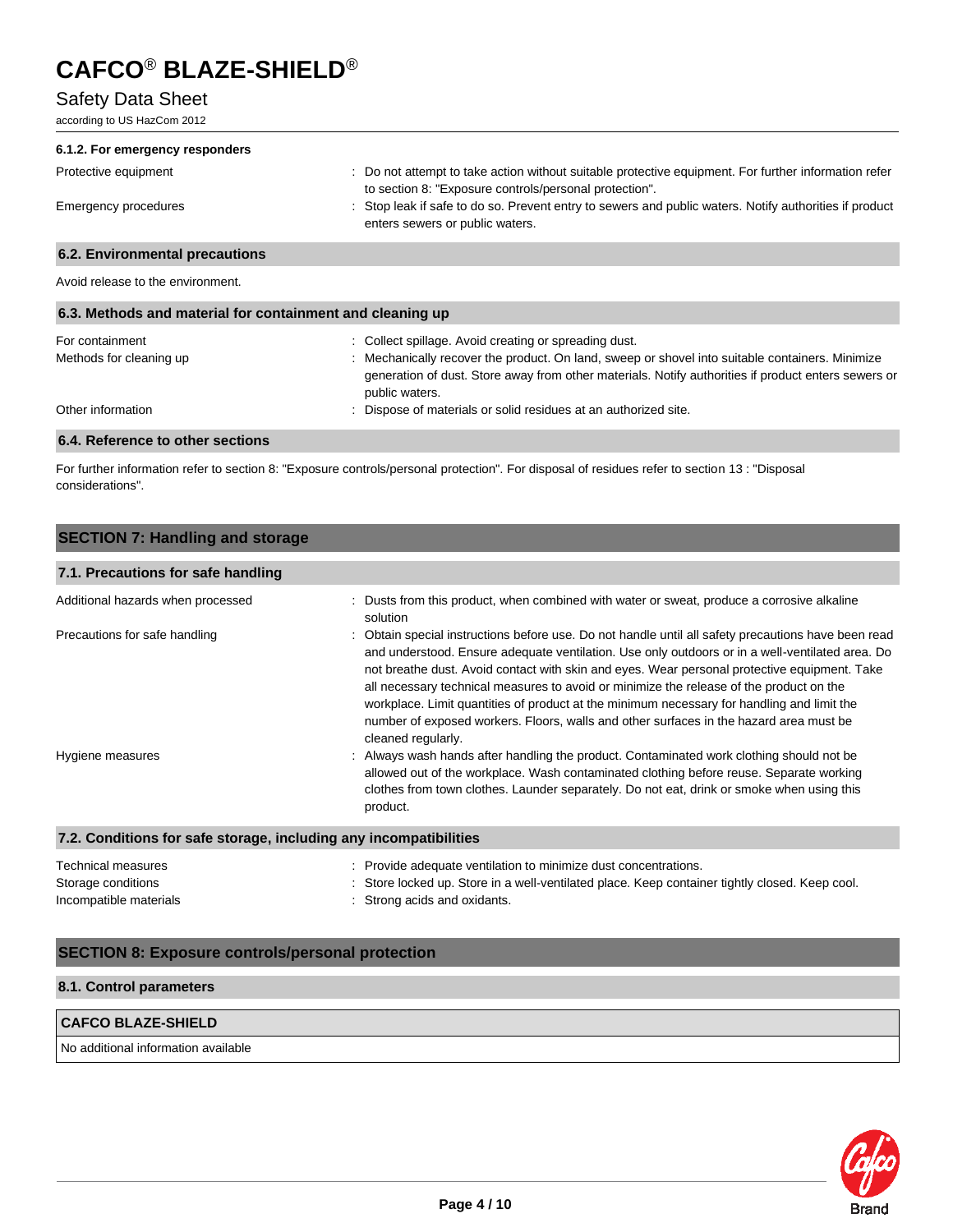# Safety Data Sheet

according to US HazCom 2012

| 6.1.2. For emergency responders                           |                                                                                                                                                                |
|-----------------------------------------------------------|----------------------------------------------------------------------------------------------------------------------------------------------------------------|
| Protective equipment                                      | : Do not attempt to take action without suitable protective equipment. For further information refer<br>to section 8: "Exposure controls/personal protection". |
| Emergency procedures                                      | : Stop leak if safe to do so. Prevent entry to sewers and public waters. Notify authorities if product<br>enters sewers or public waters.                      |
| 6.2. Environmental precautions                            |                                                                                                                                                                |
| Avoid release to the environment.                         |                                                                                                                                                                |
| 6.3. Methods and material for containment and cleaning up |                                                                                                                                                                |
| For containment<br>Methods for cleaning up                | : Collect spillage. Avoid creating or spreading dust.<br>: Mechanically recover the product. On land, sweep or shovel into suitable containers. Minimize       |

generation of dust. Store away from other materials. Notify authorities if product enters sewers or public waters. Other information **contracts** on the contracts of materials or solid residues at an authorized site.

### **6.4. Reference to other sections**

For further information refer to section 8: "Exposure controls/personal protection". For disposal of residues refer to section 13 : "Disposal considerations".

# **SECTION 7: Handling and storage**

### **7.1. Precautions for safe handling** Additional hazards when processed : Dusts from this product, when combined with water or sweat, produce a corrosive alkaline solution Precautions for safe handling **included instructions before use.** Do not handle until all safety precautions have been read and understood. Ensure adequate ventilation. Use only outdoors or in a well-ventilated area. Do not breathe dust. Avoid contact with skin and eyes. Wear personal protective equipment. Take all necessary technical measures to avoid or minimize the release of the product on the workplace. Limit quantities of product at the minimum necessary for handling and limit the number of exposed workers. Floors, walls and other surfaces in the hazard area must be cleaned regularly. Hygiene measures example of the state of Always wash hands after handling the product. Contaminated work clothing should not be allowed out of the workplace. Wash contaminated clothing before reuse. Separate working clothes from town clothes. Launder separately. Do not eat, drink or smoke when using this product. **7.2. Conditions for safe storage, including any incompatibilities**

| Technical measures     | : Provide adequate ventilation to minimize dust concentrations.                                |
|------------------------|------------------------------------------------------------------------------------------------|
| Storage conditions     | : Store locked up. Store in a well-ventilated place. Keep container tightly closed. Keep cool. |
| Incompatible materials | : Strong acids and oxidants.                                                                   |

### **SECTION 8: Exposure controls/personal protection**

#### **8.1. Control parameters**

# **CAFCO BLAZE-SHIELD**

No additional information available

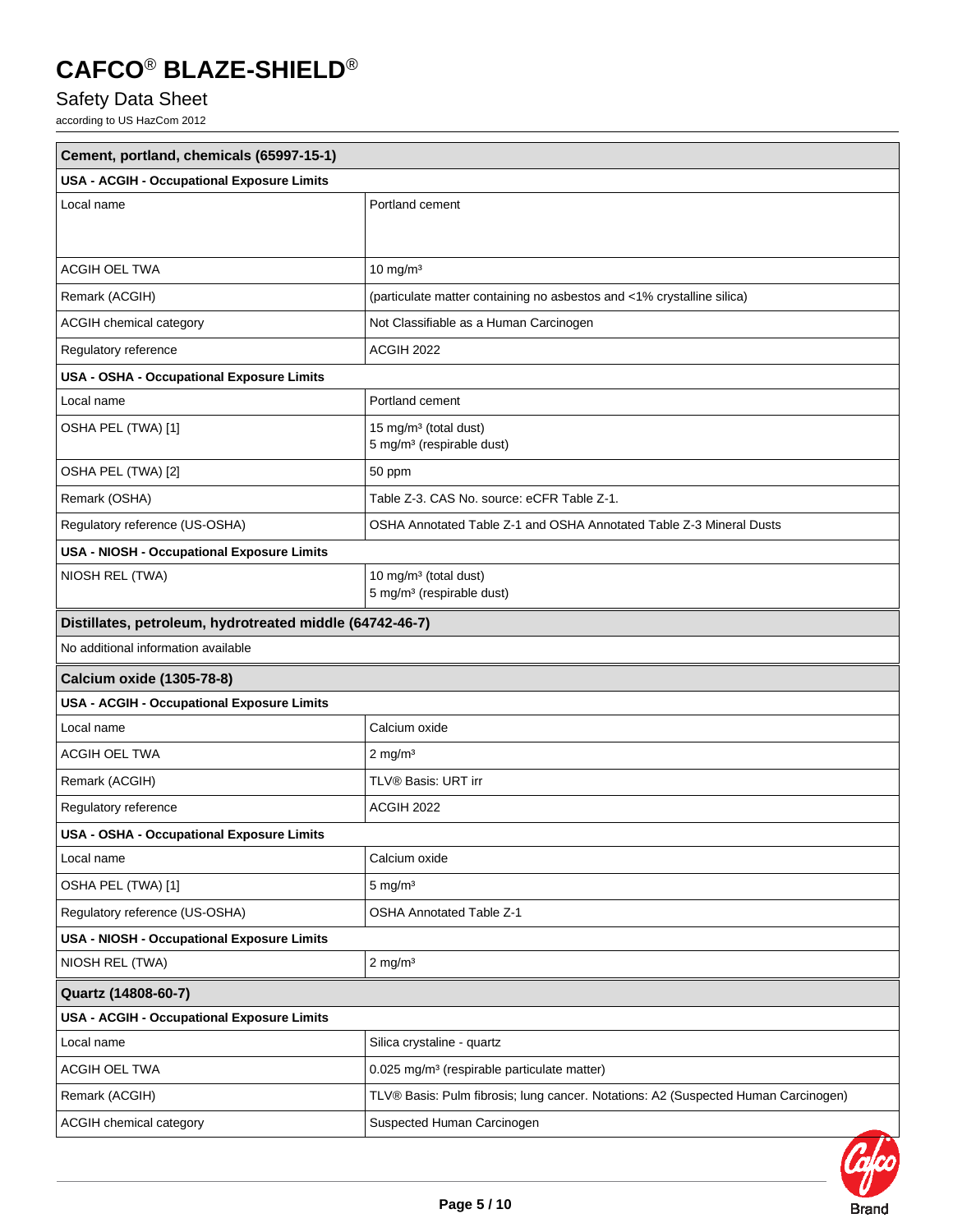# Safety Data Sheet

according to US HazCom 2012

| Cement, portland, chemicals (65997-15-1)                 |                                                                                    |  |  |
|----------------------------------------------------------|------------------------------------------------------------------------------------|--|--|
| USA - ACGIH - Occupational Exposure Limits               |                                                                                    |  |  |
| Local name                                               | Portland cement                                                                    |  |  |
|                                                          |                                                                                    |  |  |
| <b>ACGIH OEL TWA</b>                                     | $10 \text{ mg/m}^3$                                                                |  |  |
| Remark (ACGIH)                                           | (particulate matter containing no asbestos and <1% crystalline silica)             |  |  |
| ACGIH chemical category                                  | Not Classifiable as a Human Carcinogen                                             |  |  |
| Regulatory reference                                     | ACGIH 2022                                                                         |  |  |
| USA - OSHA - Occupational Exposure Limits                |                                                                                    |  |  |
| Local name                                               | Portland cement                                                                    |  |  |
| OSHA PEL (TWA) [1]                                       | 15 mg/m <sup>3</sup> (total dust)<br>5 mg/m <sup>3</sup> (respirable dust)         |  |  |
| OSHA PEL (TWA) [2]                                       | 50 ppm                                                                             |  |  |
| Remark (OSHA)                                            | Table Z-3. CAS No. source: eCFR Table Z-1.                                         |  |  |
| Regulatory reference (US-OSHA)                           | OSHA Annotated Table Z-1 and OSHA Annotated Table Z-3 Mineral Dusts                |  |  |
| <b>USA - NIOSH - Occupational Exposure Limits</b>        |                                                                                    |  |  |
| NIOSH REL (TWA)                                          | 10 mg/m <sup>3</sup> (total dust)<br>5 mg/m <sup>3</sup> (respirable dust)         |  |  |
| Distillates, petroleum, hydrotreated middle (64742-46-7) |                                                                                    |  |  |
| No additional information available                      |                                                                                    |  |  |
| <b>Calcium oxide (1305-78-8)</b>                         |                                                                                    |  |  |
| USA - ACGIH - Occupational Exposure Limits               |                                                                                    |  |  |
| Local name                                               | Calcium oxide                                                                      |  |  |
| ACGIH OEL TWA                                            | $2$ mg/m <sup>3</sup>                                                              |  |  |
| Remark (ACGIH)                                           | TLV® Basis: URT irr                                                                |  |  |
| Regulatory reference                                     | ACGIH 2022                                                                         |  |  |
| USA - OSHA - Occupational Exposure Limits                |                                                                                    |  |  |
| Local name                                               | Calcium oxide                                                                      |  |  |
| OSHA PEL (TWA) [1]                                       | $5 \text{ mg/m}^3$                                                                 |  |  |
| Regulatory reference (US-OSHA)                           | <b>OSHA Annotated Table Z-1</b>                                                    |  |  |
| USA - NIOSH - Occupational Exposure Limits               |                                                                                    |  |  |
| NIOSH REL (TWA)                                          | $2$ mg/m <sup>3</sup>                                                              |  |  |
| Quartz (14808-60-7)                                      |                                                                                    |  |  |
| USA - ACGIH - Occupational Exposure Limits               |                                                                                    |  |  |
| Local name                                               | Silica crystaline - quartz                                                         |  |  |
| ACGIH OEL TWA                                            | 0.025 mg/m <sup>3</sup> (respirable particulate matter)                            |  |  |
| Remark (ACGIH)                                           | TLV® Basis: Pulm fibrosis; lung cancer. Notations: A2 (Suspected Human Carcinogen) |  |  |
| ACGIH chemical category                                  | Suspected Human Carcinogen                                                         |  |  |

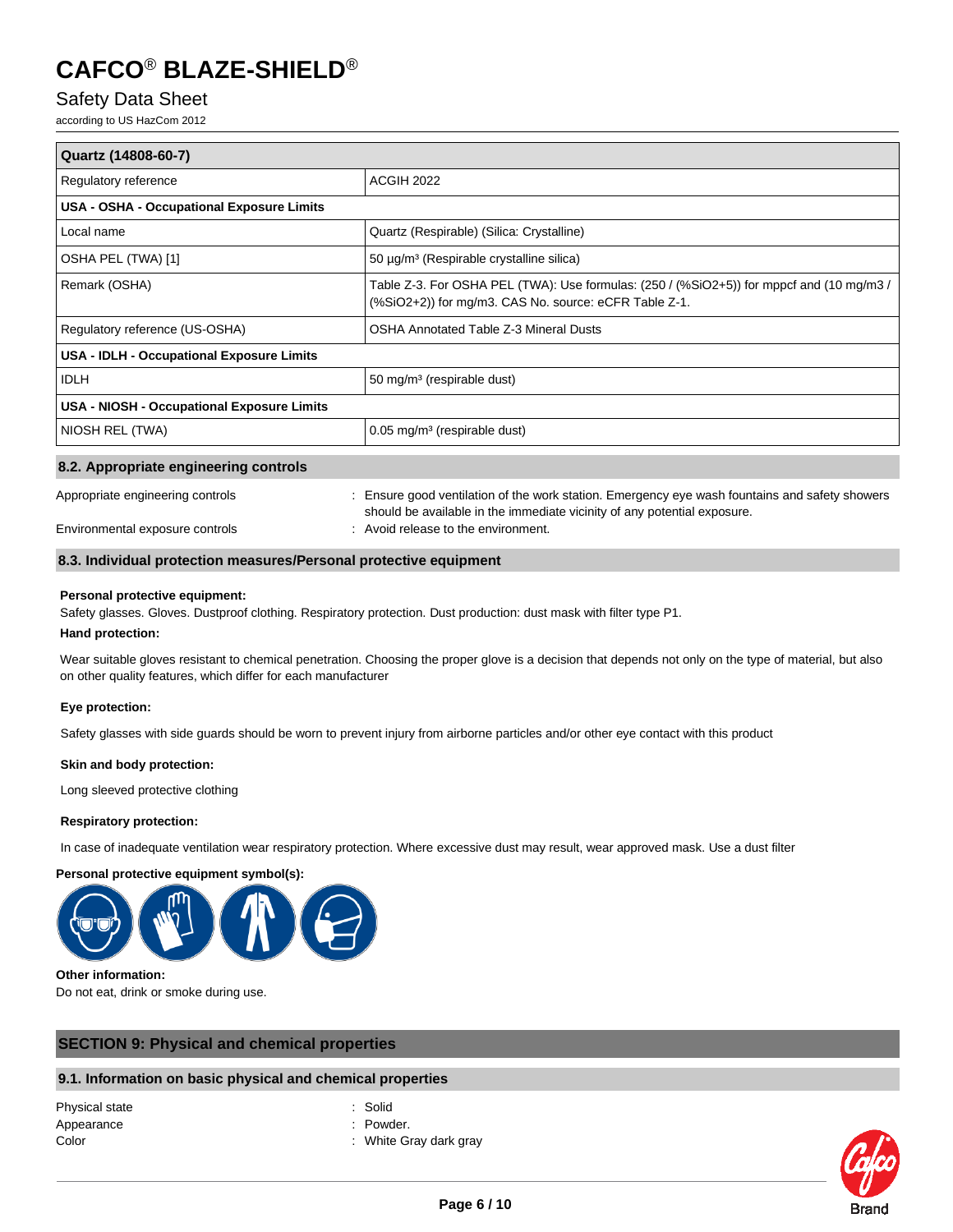# Safety Data Sheet

according to US HazCom 2012

| Quartz (14808-60-7)                              |                                                                                                                                                   |  |
|--------------------------------------------------|---------------------------------------------------------------------------------------------------------------------------------------------------|--|
| Regulatory reference                             | <b>ACGIH 2022</b>                                                                                                                                 |  |
| <b>USA - OSHA - Occupational Exposure Limits</b> |                                                                                                                                                   |  |
| Local name                                       | Quartz (Respirable) (Silica: Crystalline)                                                                                                         |  |
| OSHA PEL (TWA) [1]                               | 50 μg/m <sup>3</sup> (Respirable crystalline silica)                                                                                              |  |
| Remark (OSHA)                                    | Table Z-3. For OSHA PEL (TWA): Use formulas: (250 / (%SiO2+5)) for mppcf and (10 mg/m3 /<br>(%SiO2+2)) for mg/m3. CAS No. source: eCFR Table Z-1. |  |
| Regulatory reference (US-OSHA)                   | <b>OSHA Annotated Table Z-3 Mineral Dusts</b>                                                                                                     |  |
| USA - IDLH - Occupational Exposure Limits        |                                                                                                                                                   |  |
| <b>IDLH</b>                                      | 50 mg/m <sup>3</sup> (respirable dust)                                                                                                            |  |
| USA - NIOSH - Occupational Exposure Limits       |                                                                                                                                                   |  |
| NIOSH REL (TWA)                                  | $0.05$ mg/m <sup>3</sup> (respirable dust)                                                                                                        |  |
| 8.2. Appropriate engineering controls            |                                                                                                                                                   |  |
| Appropriate engineering controls                 | : Ensure good ventilation of the work station. Emergency eye wash fountains and safety showers                                                    |  |

Environmental exposure controls : Avoid release to the environment.

#### **8.3. Individual protection measures/Personal protective equipment**

#### **Personal protective equipment:**

Safety glasses. Gloves. Dustproof clothing. Respiratory protection. Dust production: dust mask with filter type P1.

#### **Hand protection:**

Wear suitable gloves resistant to chemical penetration. Choosing the proper glove is a decision that depends not only on the type of material, but also on other quality features, which differ for each manufacturer

should be available in the immediate vicinity of any potential exposure.

#### **Eye protection:**

Safety glasses with side guards should be worn to prevent injury from airborne particles and/or other eye contact with this product

#### **Skin and body protection:**

Long sleeved protective clothing

#### **Respiratory protection:**

In case of inadequate ventilation wear respiratory protection. Where excessive dust may result, wear approved mask. Use a dust filter

#### **Personal protective equipment symbol(s):**



#### **Other information:**

Do not eat, drink or smoke during use.

#### **SECTION 9: Physical and chemical properties**

### **9.1. Information on basic physical and chemical properties**

Physical state : Solid Appearance : Powder.

- 
- 
- Color : White Gray dark gray

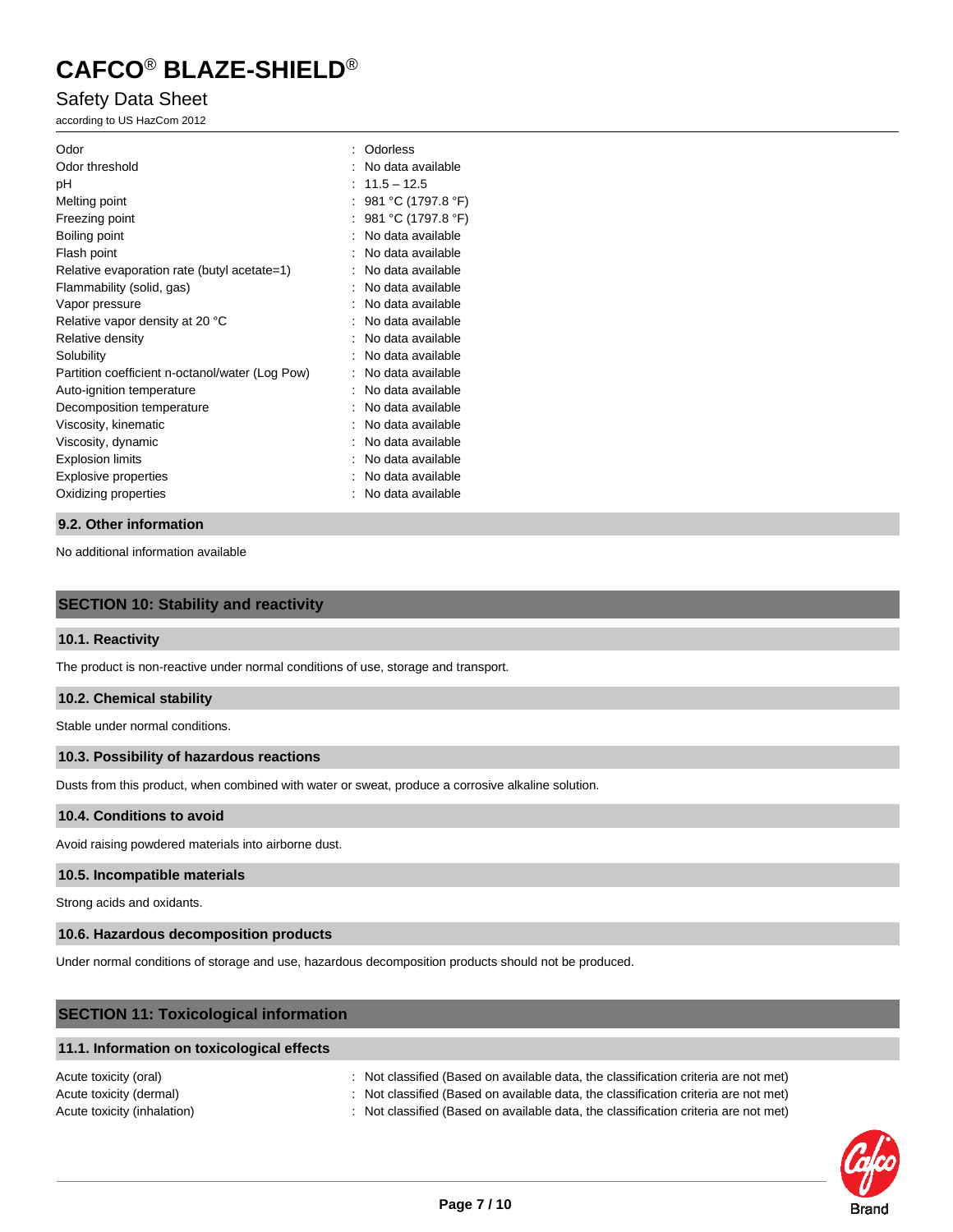## Safety Data Sheet

according to US HazCom 2012

| Odor                                            | Odorless           |
|-------------------------------------------------|--------------------|
| Odor threshold                                  | No data available  |
| рH                                              | $11.5 - 12.5$      |
| Melting point                                   | 981 °C (1797.8 °F) |
| Freezing point                                  | 981 °C (1797.8 °F) |
| Boiling point                                   | No data available  |
| Flash point                                     | No data available  |
| Relative evaporation rate (butyl acetate=1)     | No data available  |
| Flammability (solid, gas)                       | No data available  |
| Vapor pressure                                  | No data available  |
| Relative vapor density at 20 °C                 | No data available  |
| Relative density                                | No data available  |
| Solubility                                      | No data available  |
| Partition coefficient n-octanol/water (Log Pow) | No data available  |
| Auto-ignition temperature                       | No data available  |
| Decomposition temperature                       | No data available  |
| Viscosity, kinematic                            | No data available  |
| Viscosity, dynamic                              | No data available  |
| <b>Explosion limits</b>                         | No data available  |
| <b>Explosive properties</b>                     | No data available  |
| Oxidizing properties                            | No data available  |
|                                                 |                    |

#### **9.2. Other information**

No additional information available

#### **SECTION 10: Stability and reactivity**

#### **10.1. Reactivity**

The product is non-reactive under normal conditions of use, storage and transport.

#### **10.2. Chemical stability**

Stable under normal conditions.

#### **10.3. Possibility of hazardous reactions**

Dusts from this product, when combined with water or sweat, produce a corrosive alkaline solution.

#### **10.4. Conditions to avoid**

Avoid raising powdered materials into airborne dust.

#### **10.5. Incompatible materials**

Strong acids and oxidants.

#### **10.6. Hazardous decomposition products**

Under normal conditions of storage and use, hazardous decomposition products should not be produced.

# **SECTION 11: Toxicological information 11.1. Information on toxicological effects** Acute toxicity (oral) : Not classified (Based on available data, the classification criteria are not met)

Acute toxicity (dermal) : Not classified (Based on available data, the classification criteria are not met) Acute toxicity (inhalation) : Not classified (Based on available data, the classification criteria are not met)

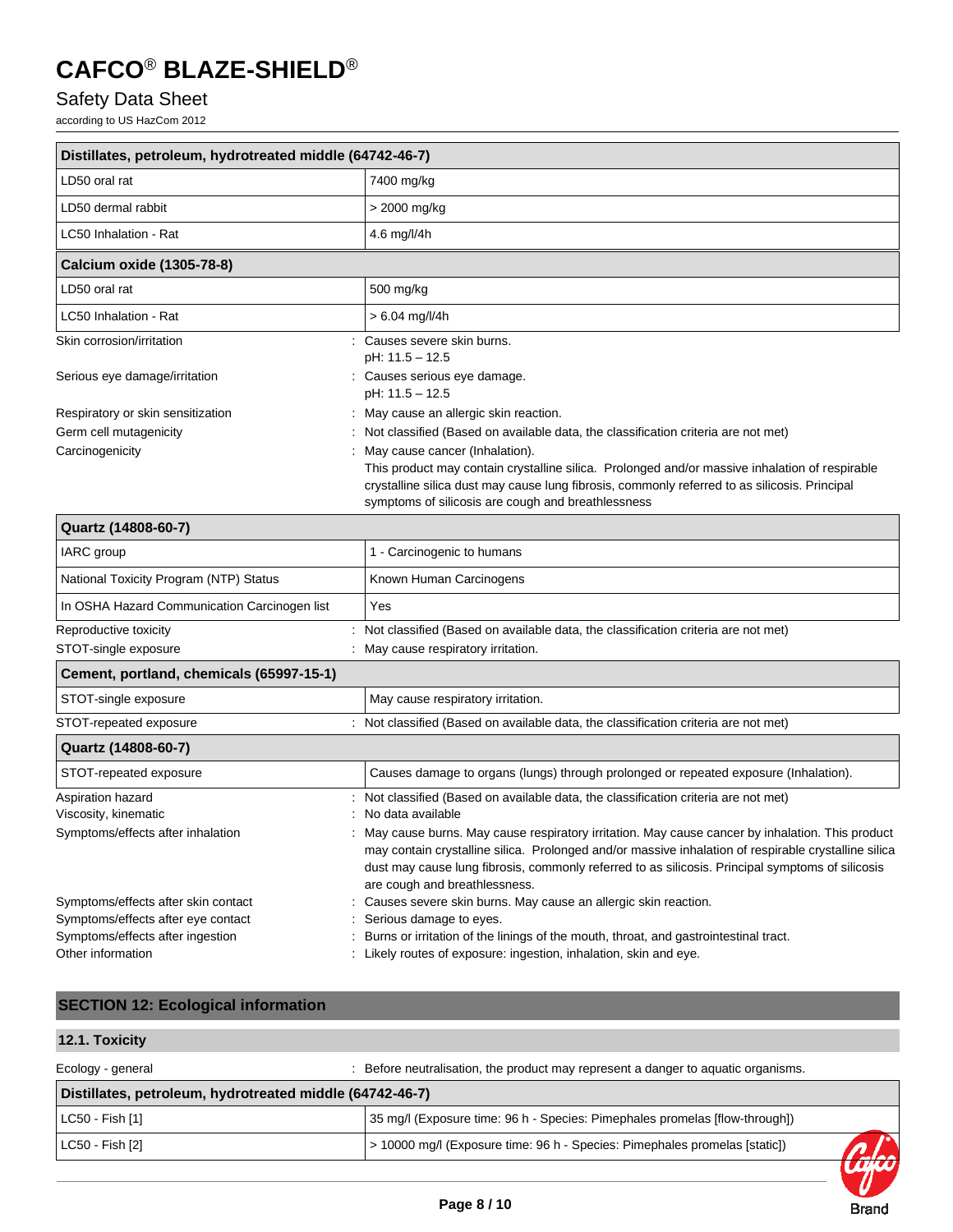# Safety Data Sheet

according to US HazCom 2012

| Distillates, petroleum, hydrotreated middle (64742-46-7) |                                                                                                                                                                                                                                                       |  |  |
|----------------------------------------------------------|-------------------------------------------------------------------------------------------------------------------------------------------------------------------------------------------------------------------------------------------------------|--|--|
| LD50 oral rat                                            | 7400 mg/kg                                                                                                                                                                                                                                            |  |  |
| LD50 dermal rabbit                                       | > 2000 mg/kg                                                                                                                                                                                                                                          |  |  |
| LC50 Inhalation - Rat                                    | 4.6 mg/l/4h                                                                                                                                                                                                                                           |  |  |
| Calcium oxide (1305-78-8)                                |                                                                                                                                                                                                                                                       |  |  |
| LD50 oral rat                                            | 500 mg/kg                                                                                                                                                                                                                                             |  |  |
| LC50 Inhalation - Rat                                    | $> 6.04$ mg/l/4h                                                                                                                                                                                                                                      |  |  |
| Skin corrosion/irritation                                | Causes severe skin burns.<br>pH: 11.5 - 12.5                                                                                                                                                                                                          |  |  |
| Serious eye damage/irritation                            | Causes serious eye damage.<br>pH: 11.5 - 12.5                                                                                                                                                                                                         |  |  |
| Respiratory or skin sensitization                        | May cause an allergic skin reaction.                                                                                                                                                                                                                  |  |  |
| Germ cell mutagenicity                                   | Not classified (Based on available data, the classification criteria are not met)                                                                                                                                                                     |  |  |
| Carcinogenicity                                          | May cause cancer (Inhalation).                                                                                                                                                                                                                        |  |  |
|                                                          | This product may contain crystalline silica. Prolonged and/or massive inhalation of respirable<br>crystalline silica dust may cause lung fibrosis, commonly referred to as silicosis. Principal<br>symptoms of silicosis are cough and breathlessness |  |  |

| Quartz (14808-60-7)                          |                                                                                                                                                                                                                                                                                                                                              |  |  |
|----------------------------------------------|----------------------------------------------------------------------------------------------------------------------------------------------------------------------------------------------------------------------------------------------------------------------------------------------------------------------------------------------|--|--|
| IARC group                                   | 1 - Carcinogenic to humans                                                                                                                                                                                                                                                                                                                   |  |  |
| National Toxicity Program (NTP) Status       | Known Human Carcinogens                                                                                                                                                                                                                                                                                                                      |  |  |
| In OSHA Hazard Communication Carcinogen list | Yes                                                                                                                                                                                                                                                                                                                                          |  |  |
| Reproductive toxicity                        | Not classified (Based on available data, the classification criteria are not met)                                                                                                                                                                                                                                                            |  |  |
| STOT-single exposure                         | May cause respiratory irritation.                                                                                                                                                                                                                                                                                                            |  |  |
| Cement, portland, chemicals (65997-15-1)     |                                                                                                                                                                                                                                                                                                                                              |  |  |
| STOT-single exposure                         | May cause respiratory irritation.                                                                                                                                                                                                                                                                                                            |  |  |
| STOT-repeated exposure                       | Not classified (Based on available data, the classification criteria are not met)                                                                                                                                                                                                                                                            |  |  |
| Quartz (14808-60-7)                          |                                                                                                                                                                                                                                                                                                                                              |  |  |
| STOT-repeated exposure                       | Causes damage to organs (lungs) through prolonged or repeated exposure (Inhalation).                                                                                                                                                                                                                                                         |  |  |
| Aspiration hazard                            | Not classified (Based on available data, the classification criteria are not met)                                                                                                                                                                                                                                                            |  |  |
| Viscosity, kinematic                         | No data available                                                                                                                                                                                                                                                                                                                            |  |  |
| Symptoms/effects after inhalation            | May cause burns. May cause respiratory irritation. May cause cancer by inhalation. This product<br>may contain crystalline silica. Prolonged and/or massive inhalation of respirable crystalline silica<br>dust may cause lung fibrosis, commonly referred to as silicosis. Principal symptoms of silicosis<br>are cough and breathlessness. |  |  |
| Symptoms/effects after skin contact          | Causes severe skin burns. May cause an allergic skin reaction.                                                                                                                                                                                                                                                                               |  |  |
| Symptoms/effects after eye contact           | Serious damage to eyes.                                                                                                                                                                                                                                                                                                                      |  |  |
| Symptoms/effects after ingestion             | Burns or irritation of the linings of the mouth, throat, and gastrointestinal tract.                                                                                                                                                                                                                                                         |  |  |
| Other information                            | Likely routes of exposure: ingestion, inhalation, skin and eye.                                                                                                                                                                                                                                                                              |  |  |

# **SECTION 12: Ecological information**

### **12.1. Toxicity**

| Ecology - general                                        | Before neutralisation, the product may represent a danger to aquatic organisms. |  |  |  |
|----------------------------------------------------------|---------------------------------------------------------------------------------|--|--|--|
| Distillates, petroleum, hydrotreated middle (64742-46-7) |                                                                                 |  |  |  |
| $ $ LC50 - Fish $[1]$                                    | 35 mg/l (Exposure time: 96 h - Species: Pimephales promelas [flow-through])     |  |  |  |
| $ $ LC50 - Fish $[2]$                                    | > 10000 mg/l (Exposure time: 96 h - Species: Pimephales promelas [static])      |  |  |  |

**Brand**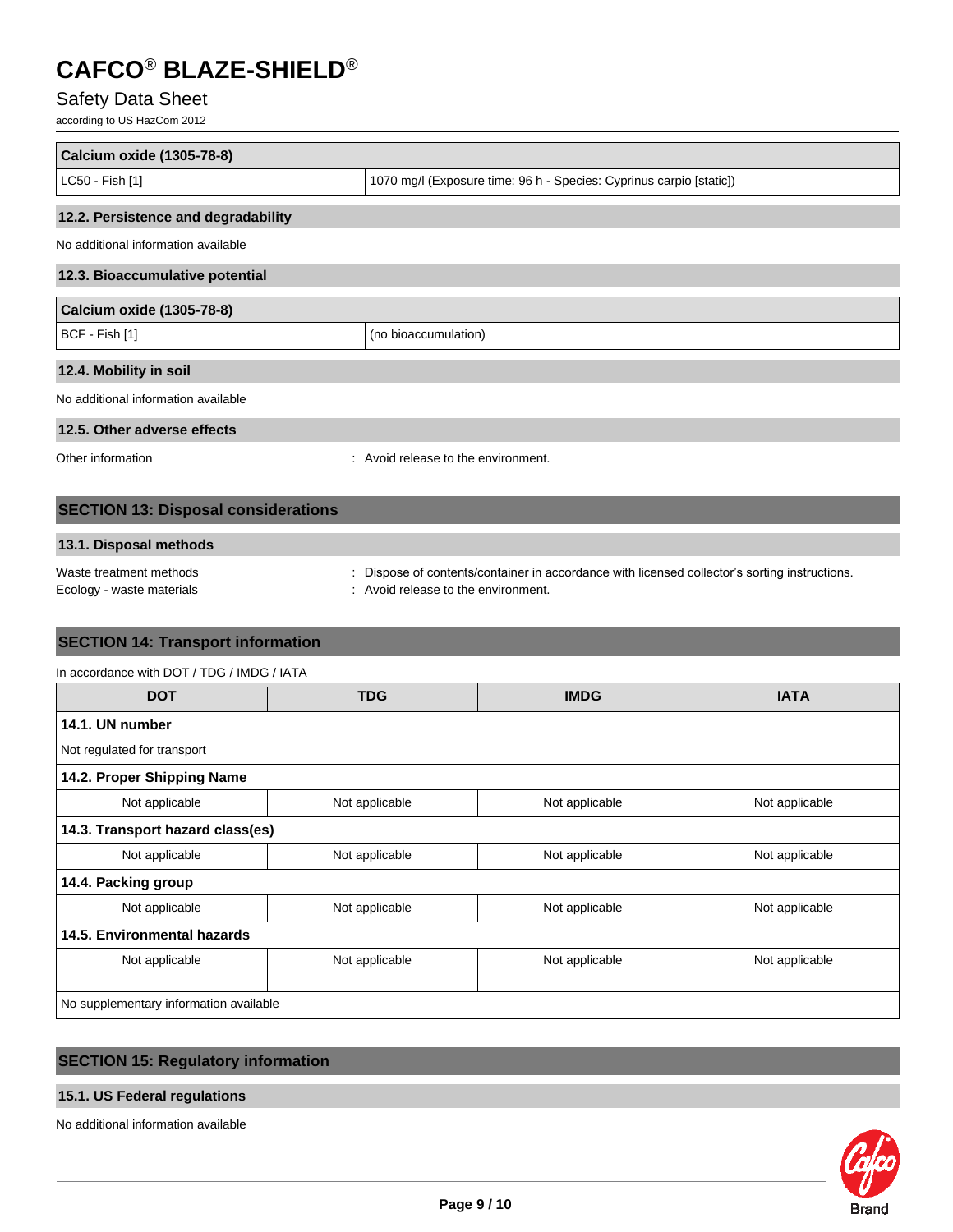# Safety Data Sheet

according to US HazCom 2012

| Calcium oxide (1305-78-8)                            |                                                                                                                                  |  |  |  |  |
|------------------------------------------------------|----------------------------------------------------------------------------------------------------------------------------------|--|--|--|--|
| LC50 - Fish [1]                                      | 1070 mg/l (Exposure time: 96 h - Species: Cyprinus carpio [static])                                                              |  |  |  |  |
| 12.2. Persistence and degradability                  |                                                                                                                                  |  |  |  |  |
| No additional information available                  |                                                                                                                                  |  |  |  |  |
| 12.3. Bioaccumulative potential                      |                                                                                                                                  |  |  |  |  |
| <b>Calcium oxide (1305-78-8)</b>                     |                                                                                                                                  |  |  |  |  |
| BCF - Fish [1]                                       | (no bioaccumulation)                                                                                                             |  |  |  |  |
| 12.4. Mobility in soil                               |                                                                                                                                  |  |  |  |  |
| No additional information available                  |                                                                                                                                  |  |  |  |  |
| 12.5. Other adverse effects                          |                                                                                                                                  |  |  |  |  |
| Other information                                    | Avoid release to the environment.                                                                                                |  |  |  |  |
| <b>SECTION 13: Disposal considerations</b>           |                                                                                                                                  |  |  |  |  |
| 13.1. Disposal methods                               |                                                                                                                                  |  |  |  |  |
| Waste treatment methods<br>Ecology - waste materials | Dispose of contents/container in accordance with licensed collector's sorting instructions.<br>Avoid release to the environment. |  |  |  |  |

### **SECTION 14: Transport information**

| In accordance with DOT / TDG / IMDG / IATA |                |                |                |  |  |  |
|--------------------------------------------|----------------|----------------|----------------|--|--|--|
| <b>DOT</b>                                 | <b>TDG</b>     | <b>IMDG</b>    | <b>IATA</b>    |  |  |  |
| 14.1. UN number                            |                |                |                |  |  |  |
| Not regulated for transport                |                |                |                |  |  |  |
| 14.2. Proper Shipping Name                 |                |                |                |  |  |  |
| Not applicable                             | Not applicable | Not applicable | Not applicable |  |  |  |
| 14.3. Transport hazard class(es)           |                |                |                |  |  |  |
| Not applicable                             | Not applicable | Not applicable | Not applicable |  |  |  |
| 14.4. Packing group                        |                |                |                |  |  |  |
| Not applicable                             | Not applicable | Not applicable | Not applicable |  |  |  |
| 14.5. Environmental hazards                |                |                |                |  |  |  |
| Not applicable                             | Not applicable | Not applicable | Not applicable |  |  |  |
|                                            |                |                |                |  |  |  |
| No supplementary information available     |                |                |                |  |  |  |

# **SECTION 15: Regulatory information**

### **15.1. US Federal regulations**

No additional information available